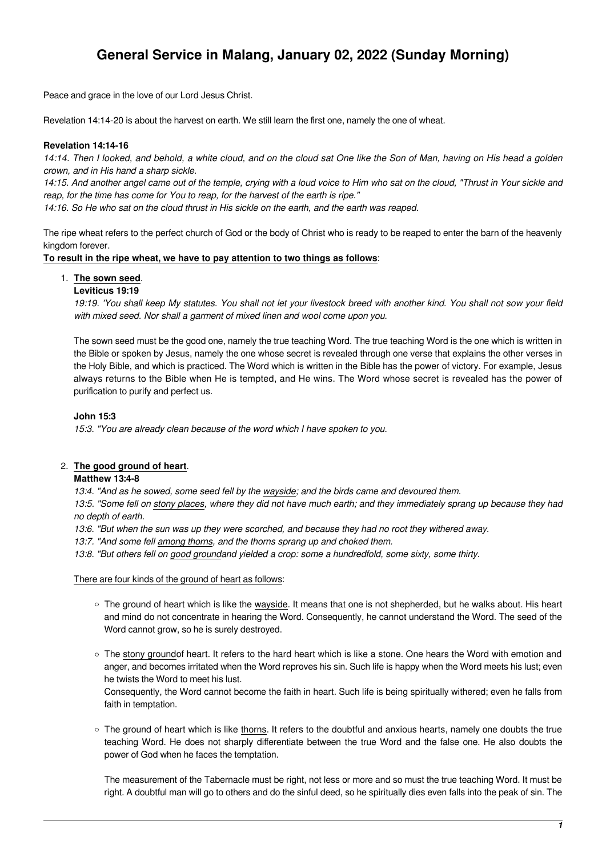# **General Service in Malang, January 02, 2022 (Sunday Morning)**

Peace and grace in the love of our Lord Jesus Christ.

Revelation 14:14-20 is about the harvest on earth. We still learn the first one, namely the one of wheat.

## **Revelation 14:14-16**

14:14. Then I looked, and behold, a white cloud, and on the cloud sat One like the Son of Man, having on His head a golden crown, and in His hand a sharp sickle.

14:15. And another angel came out of the temple, crying with a loud voice to Him who sat on the cloud, "Thrust in Your sickle and reap, for the time has come for You to reap, for the harvest of the earth is ripe."

14:16. So He who sat on the cloud thrust in His sickle on the earth, and the earth was reaped.

The ripe wheat refers to the perfect church of God or the body of Christ who is ready to be reaped to enter the barn of the heavenly kingdom forever.

## **To result in the ripe wheat, we have to pay attention to two things as follows**:

# 1. **The sown seed**.

## **Leviticus 19:19**

19:19. 'You shall keep My statutes. You shall not let your livestock breed with another kind. You shall not sow your field with mixed seed. Nor shall a garment of mixed linen and wool come upon you.

The sown seed must be the good one, namely the true teaching Word. The true teaching Word is the one which is written in the Bible or spoken by Jesus, namely the one whose secret is revealed through one verse that explains the other verses in the Holy Bible, and which is practiced. The Word which is written in the Bible has the power of victory. For example, Jesus always returns to the Bible when He is tempted, and He wins. The Word whose secret is revealed has the power of purification to purify and perfect us.

## **John 15:3**

15:3. "You are already clean because of the word which I have spoken to you.

# 2. **The good ground of heart**.

## **Matthew 13:4-8**

13:4. "And as he sowed, some seed fell by the wayside; and the birds came and devoured them.

13:5. "Some fell on stony places, where they did not have much earth; and they immediately sprang up because they had no depth of earth.

13:6. "But when the sun was up they were scorched, and because they had no root they withered away.

13:7. "And some fell among thorns, and the thorns sprang up and choked them.

13:8. "But others fell on good groundand yielded a crop: some a hundredfold, some sixty, some thirty.

#### There are four kinds of the ground of heart as follows:

- The ground of heart which is like the wayside. It means that one is not shepherded, but he walks about. His heart and mind do not concentrate in hearing the Word. Consequently, he cannot understand the Word. The seed of the Word cannot grow, so he is surely destroyed.
- The stony groundof heart. It refers to the hard heart which is like a stone. One hears the Word with emotion and anger, and becomes irritated when the Word reproves his sin. Such life is happy when the Word meets his lust; even he twists the Word to meet his lust.

Consequently, the Word cannot become the faith in heart. Such life is being spiritually withered; even he falls from faith in temptation.

The ground of heart which is like thorns. It refers to the doubtful and anxious hearts, namely one doubts the true teaching Word. He does not sharply differentiate between the true Word and the false one. He also doubts the power of God when he faces the temptation.

The measurement of the Tabernacle must be right, not less or more and so must the true teaching Word. It must be right. A doubtful man will go to others and do the sinful deed, so he spiritually dies even falls into the peak of sin. The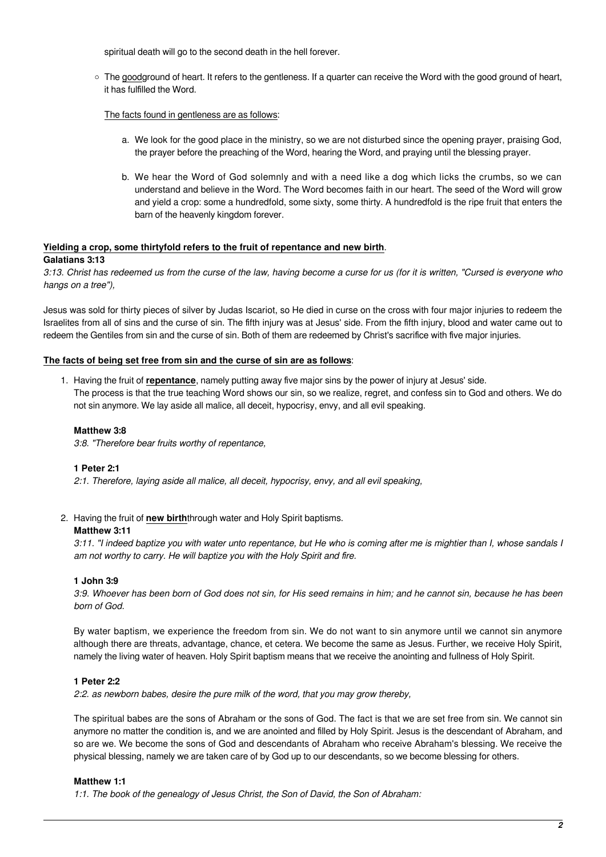spiritual death will go to the second death in the hell forever.

 $\circ$  The goodground of heart. It refers to the gentleness. If a guarter can receive the Word with the good ground of heart, it has fulfilled the Word.

## The facts found in gentleness are as follows:

- a. We look for the good place in the ministry, so we are not disturbed since the opening prayer, praising God, the prayer before the preaching of the Word, hearing the Word, and praying until the blessing prayer.
- b. We hear the Word of God solemnly and with a need like a dog which licks the crumbs, so we can understand and believe in the Word. The Word becomes faith in our heart. The seed of the Word will grow and yield a crop: some a hundredfold, some sixty, some thirty. A hundredfold is the ripe fruit that enters the barn of the heavenly kingdom forever.

#### **Yielding a crop, some thirtyfold refers to the fruit of repentance and new birth**. **Galatians 3:13**

3:13. Christ has redeemed us from the curse of the law, having become a curse for us (for it is written, "Cursed is everyone who hangs on a tree"),

Jesus was sold for thirty pieces of silver by Judas Iscariot, so He died in curse on the cross with four major injuries to redeem the Israelites from all of sins and the curse of sin. The fifth injury was at Jesus' side. From the fifth injury, blood and water came out to redeem the Gentiles from sin and the curse of sin. Both of them are redeemed by Christ's sacrifice with five major injuries.

## **The facts of being set free from sin and the curse of sin are as follows**:

1. Having the fruit of **repentance**, namely putting away five major sins by the power of injury at Jesus' side. The process is that the true teaching Word shows our sin, so we realize, regret, and confess sin to God and others. We do not sin anymore. We lay aside all malice, all deceit, hypocrisy, envy, and all evil speaking.

## **Matthew 3:8**

3:8. "Therefore bear fruits worthy of repentance,

## **1 Peter 2:1**

2:1. Therefore, laying aside all malice, all deceit, hypocrisy, envy, and all evil speaking,

## 2. Having the fruit of **new birth**through water and Holy Spirit baptisms.

## **Matthew 3:11**

3:11. "I indeed baptize you with water unto repentance, but He who is coming after me is mightier than I, whose sandals I am not worthy to carry. He will baptize you with the Holy Spirit and fire.

## **1 John 3:9**

3:9. Whoever has been born of God does not sin, for His seed remains in him; and he cannot sin, because he has been born of God.

By water baptism, we experience the freedom from sin. We do not want to sin anymore until we cannot sin anymore although there are threats, advantage, chance, et cetera. We become the same as Jesus. Further, we receive Holy Spirit, namely the living water of heaven. Holy Spirit baptism means that we receive the anointing and fullness of Holy Spirit.

## **1 Peter 2:2**

2:2. as newborn babes, desire the pure milk of the word, that you may grow thereby,

The spiritual babes are the sons of Abraham or the sons of God. The fact is that we are set free from sin. We cannot sin anymore no matter the condition is, and we are anointed and filled by Holy Spirit. Jesus is the descendant of Abraham, and so are we. We become the sons of God and descendants of Abraham who receive Abraham's blessing. We receive the physical blessing, namely we are taken care of by God up to our descendants, so we become blessing for others.

## **Matthew 1:1**

1:1. The book of the genealogy of Jesus Christ, the Son of David, the Son of Abraham: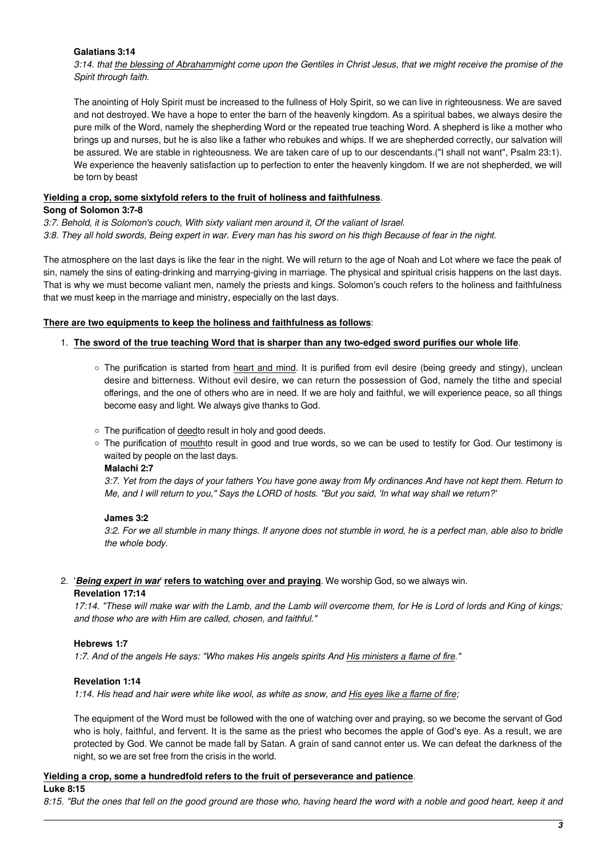## **Galatians 3:14**

3:14. that the blessing of Abrahammight come upon the Gentiles in Christ Jesus, that we might receive the promise of the Spirit through faith.

The anointing of Holy Spirit must be increased to the fullness of Holy Spirit, so we can live in righteousness. We are saved and not destroyed. We have a hope to enter the barn of the heavenly kingdom. As a spiritual babes, we always desire the pure milk of the Word, namely the shepherding Word or the repeated true teaching Word. A shepherd is like a mother who brings up and nurses, but he is also like a father who rebukes and whips. If we are shepherded correctly, our salvation will be assured. We are stable in righteousness. We are taken care of up to our descendants.("I shall not want", Psalm 23:1). We experience the heavenly satisfaction up to perfection to enter the heavenly kingdom. If we are not shepherded, we will be torn by beast

## **Yielding a crop, some sixtyfold refers to the fruit of holiness and faithfulness**.

## **Song of Solomon 3:7-8**

3:7. Behold, it is Solomon's couch, With sixty valiant men around it, Of the valiant of Israel.

3:8. They all hold swords, Being expert in war. Every man has his sword on his thigh Because of fear in the night.

The atmosphere on the last days is like the fear in the night. We will return to the age of Noah and Lot where we face the peak of sin, namely the sins of eating-drinking and marrying-giving in marriage. The physical and spiritual crisis happens on the last days. That is why we must become valiant men, namely the priests and kings. Solomon's couch refers to the holiness and faithfulness that we must keep in the marriage and ministry, especially on the last days.

## **There are two equipments to keep the holiness and faithfulness as follows**:

## 1. **The sword of the true teaching Word that is sharper than any two-edged sword purifies our whole life**.

- The purification is started from heart and mind. It is purified from evil desire (being greedy and stingy), unclean desire and bitterness. Without evil desire, we can return the possession of God, namely the tithe and special offerings, and the one of others who are in need. If we are holy and faithful, we will experience peace, so all things become easy and light. We always give thanks to God.
- The purification of deedto result in holy and good deeds.
- The purification of mouthto result in good and true words, so we can be used to testify for God. Our testimony is waited by people on the last days.

## **Malachi 2:7**

3:7. Yet from the days of your fathers You have gone away from My ordinances And have not kept them. Return to Me, and I will return to you," Says the LORD of hosts. "But you said, 'In what way shall we return?'

# **James 3:2**

3:2. For we all stumble in many things. If anyone does not stumble in word, he is a perfect man, able also to bridle the whole body.

# 2. '*Being expert in war*' **refers to watching over and praying**. We worship God, so we always win.

## **Revelation 17:14**

17:14. "These will make war with the Lamb, and the Lamb will overcome them, for He is Lord of lords and King of kings; and those who are with Him are called, chosen, and faithful."

# **Hebrews 1:7**

1:7. And of the angels He says: "Who makes His angels spirits And His ministers a flame of fire."

# **Revelation 1:14**

1:14. His head and hair were white like wool, as white as snow, and His eyes like a flame of fire;

The equipment of the Word must be followed with the one of watching over and praying, so we become the servant of God who is holy, faithful, and fervent. It is the same as the priest who becomes the apple of God's eye. As a result, we are protected by God. We cannot be made fall by Satan. A grain of sand cannot enter us. We can defeat the darkness of the night, so we are set free from the crisis in the world.

# **Yielding a crop, some a hundredfold refers to the fruit of perseverance and patience**.

## **Luke 8:15**

8:15. "But the ones that fell on the good ground are those who, having heard the word with a noble and good heart, keep it and